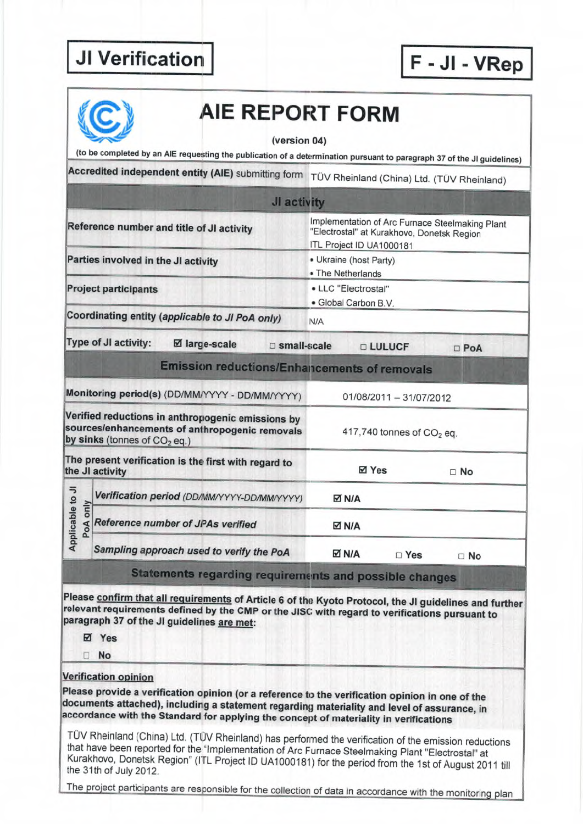|                              |                                             |                                                                                                     | AIE REPORT FORM<br>(version 04)                                                                                                                                                                                           |  |  |
|------------------------------|---------------------------------------------|-----------------------------------------------------------------------------------------------------|---------------------------------------------------------------------------------------------------------------------------------------------------------------------------------------------------------------------------|--|--|
|                              |                                             |                                                                                                     | (to be completed by an AIE requesting the publication of a determination pursuant to paragraph 37 of the JI guidelines)<br>Accredited independent entity (AIE) submitting form TÜV Rheinland (China) Ltd. (TÜV Rheinland) |  |  |
|                              |                                             |                                                                                                     |                                                                                                                                                                                                                           |  |  |
|                              |                                             |                                                                                                     | JI activity                                                                                                                                                                                                               |  |  |
|                              |                                             | Reference number and title of JI activity                                                           | Implementation of Arc Furnace Steelmaking Plant<br>"Electrostal" at Kurakhovo, Donetsk Region<br>ITL Project ID UA1000181                                                                                                 |  |  |
|                              | Parties involved in the JI activity         |                                                                                                     | • Ukraine (host Party)<br>• The Netherlands                                                                                                                                                                               |  |  |
|                              | <b>Project participants</b>                 |                                                                                                     | • LLC "Electrostal"<br>· Global Carbon B.V.                                                                                                                                                                               |  |  |
|                              |                                             | Coordinating entity (applicable to JI PoA only)                                                     | N/A                                                                                                                                                                                                                       |  |  |
|                              | Type of JI activity:                        | ⊠ large-scale                                                                                       | □ small-scale<br><b>D LULUCF</b><br>$D$ PoA                                                                                                                                                                               |  |  |
|                              |                                             |                                                                                                     | <b>Emission reductions/Enhancements of removals</b>                                                                                                                                                                       |  |  |
|                              |                                             | Monitoring period(s) (DD/MM/YYYY - DD/MM/YYYY)                                                      | 01/08/2011 - 31/07/2012                                                                                                                                                                                                   |  |  |
|                              | by sinks (tonnes of CO <sub>2</sub> eq.)    | Verified reductions in anthropogenic emissions by<br>sources/enhancements of anthropogenic removals | 417,740 tonnes of CO <sub>2</sub> eq.                                                                                                                                                                                     |  |  |
|                              | the JI activity                             | The present verification is the first with regard to                                                | ⊠ Yes<br>$\Box$ No                                                                                                                                                                                                        |  |  |
|                              | Verification period (DD/MM/YYYY-DD/MM/YYYY) |                                                                                                     | <b>⊠ N/A</b>                                                                                                                                                                                                              |  |  |
| Applicable to JI<br>PoA only | Reference number of JPAs verified           |                                                                                                     | <b>⊠ N/A</b>                                                                                                                                                                                                              |  |  |
|                              |                                             | Sampling approach used to verify the PoA                                                            | <b>ØN/A</b><br>□ Yes<br>$\square$ No                                                                                                                                                                                      |  |  |
|                              |                                             |                                                                                                     | Statements regarding requirements and possible changes                                                                                                                                                                    |  |  |
|                              | ☑ Yes<br><b>No</b>                          | paragraph 37 of the JI guidelines are met:                                                          | Please confirm that all requirements of Article 6 of the Kyoto Protocol, the JI guidelines and further<br>relevant requirements defined by the CMP or the JISC with regard to verifications pursuant to                   |  |  |
| п                            |                                             |                                                                                                     |                                                                                                                                                                                                                           |  |  |

TÜV Rheinland (China) Ltd. (TÜV Rheinland) has performed the verification of the emission reductions<br>that have been reported for the "Implementation of Arc Furnace Steelmaking Plant "Electrostal" at<br>Kurakhovo, Donetsk Regi the 31th of July 2012.

The project participants are responsible for the collection of data in accordance with the monitoring plan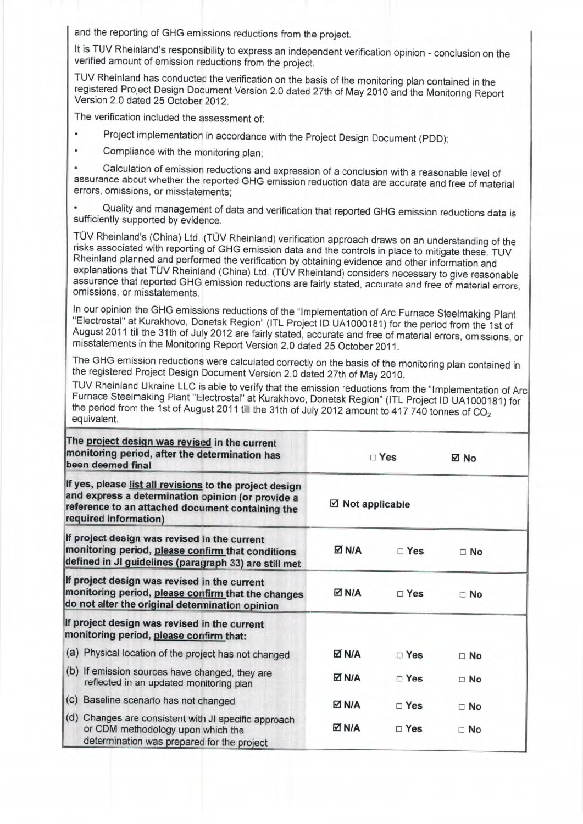and the reporting of GHG emissions reductions from the project.

It is TUV Rheinland's responsibility to express an independent verification opinion - conclusion on the verified amount of emission reductions from the project.

TUV Rheinland has conducted the verification on the basis of the monitoring plan contained in the<br>registered Project Design Document Version 2.0 dated 27th of May 2010 and the Monitoring Repo registered Project Design Document Version 2.0 dated 27th of May 2010 and the Monitoring Report<br>Version 2.0 dated 25 October 2012.

The verification included the assessment of:

- Project implementation in accordance with the Project Design Document (PDD);
- . Compliance with the monitoring plan;

Calculation of emission reductions and expression of a conclusion with a reasonable level of assurance about whether the reported GHG emission reduction data are accurate and free of material errors, omissions, or misstatements;

Quality and management of data and verification that reported GHG emission reductions data is sufficiently su pported by evidence.

TÜV Rheinland's (China) Ltd. (TÜV Rheinland) verification approach draws on an understanding of the risks associated with reporting of GHG emission data and the controls in place to mitigate these. TUV Rheinland planned an assurance that reported GHG emission reductions are fairly stated, accurate and free of material errors, omissions, or misstatements.

In our opinion the GHG emissions reductions of the "Implementation of Arc Furnace Steelmaking Plant<br>"Electrostal" at Kurakhovo, Donetsk Region" (ITL Project ID UA1000181) for the period from the 1st of August 2011 till the 31th of July 2012 are fairly stated, accurate and free of material errors, omissions, or<br>misstatements in the Monitoring Report Version 2.0 dated 25 October 2011.

The GHG emission reductions were calculated correctly on the basis of the monitoring plan contained in the registered Project Design Document Version 2.0 dated 27th of May 2010.<br>TUV Rheinland Ukraine LLC is able to verify

Furnace Steelmaking Plant "Electrostal" at Kurakhovo, Donetsk Region" (ITL Project ID UA1000181) for the period from the 1st of August 2011 till the 31th of July 2012 amount to 417 740 tonnes of CO<sub>2</sub> equivalent.

| The project design was revised in the current<br>monitoring period, after the determination has<br>been deemed final                                                                      | $\Box$ Yes<br>$\boxtimes$ Not applicable |               | ⊠ No      |
|-------------------------------------------------------------------------------------------------------------------------------------------------------------------------------------------|------------------------------------------|---------------|-----------|
| If yes, please list all revisions to the project design<br>and express a determination opinion (or provide a<br>reference to an attached document containing the<br>required information) |                                          |               |           |
| If project design was revised in the current<br>monitoring period, please confirm that conditions<br>defined in JI guidelines (paragraph 33) are still met                                | M N⊠                                     | $\square$ Yes | $\Box$ No |
| If project design was revised in the current<br>monitoring period, please confirm that the changes<br>do not alter the original determination opinion                                     | <b>⊠ N/A</b>                             | $\Box$ Yes    | $\Box$ No |
| If project design was revised in the current<br>monitoring period, please confirm that:                                                                                                   |                                          |               |           |
| (a) Physical location of the project has not changed                                                                                                                                      | M N⊠                                     | $\Box$ Yes    | $\Box$ No |
| (b) If emission sources have changed, they are<br>reflected in an updated monitoring plan                                                                                                 | <b>N/A</b>                               | $\Box$ Yes    | $\Box$ No |
| (c) Baseline scenario has not changed                                                                                                                                                     | M ⊠                                      | $\square$ Yes | $\Box$ No |
| (d) Changes are consistent with JI specific approach<br>or CDM methodology upon which the<br>determination was prepared for the project                                                   | <b>⊠ N/A</b>                             | $\sqcap$ Yes  | $\Box$ No |